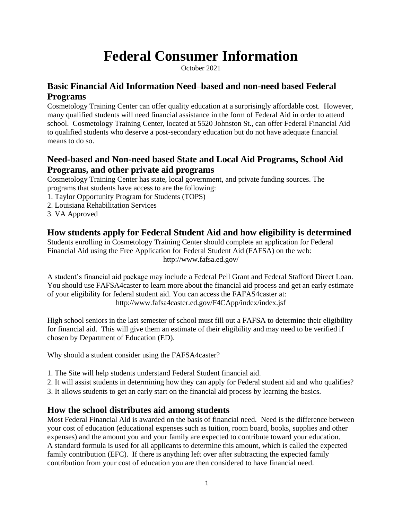# **Federal Consumer Information**

October 2021

## **Basic Financial Aid Information Need–based and non-need based Federal Programs**

Cosmetology Training Center can offer quality education at a surprisingly affordable cost. However, many qualified students will need financial assistance in the form of Federal Aid in order to attend school. Cosmetology Training Center, located at 5520 Johnston St., can offer Federal Financial Aid to qualified students who deserve a post-secondary education but do not have adequate financial means to do so.

## **Need-based and Non-need based State and Local Aid Programs, School Aid Programs, and other private aid programs**

Cosmetology Training Center has state, local government, and private funding sources. The programs that students have access to are the following:

- 1. Taylor Opportunity Program for Students (TOPS)
- 2. Louisiana Rehabilitation Services
- 3. VA Approved

# **How students apply for Federal Student Aid and how eligibility is determined**

Students enrolling in Cosmetology Training Center should complete an application for Federal Financial Aid using the Free Application for Federal Student Aid (FAFSA) on the web: http://www.fafsa.ed.gov/

A student's financial aid package may include a Federal Pell Grant and Federal Stafford Direct Loan. You should use FAFSA4caster to learn more about the financial aid process and get an early estimate of your eligibility for federal student aid. You can access the FAFAS4caster at: http://www.fafsa4caster.ed.gov/F4CApp/index/index.jsf

High school seniors in the last semester of school must fill out a FAFSA to determine their eligibility for financial aid. This will give them an estimate of their eligibility and may need to be verified if chosen by Department of Education (ED).

Why should a student consider using the FAFSA4caster?

- 1. The Site will help students understand Federal Student financial aid.
- 2. It will assist students in determining how they can apply for Federal student aid and who qualifies?
- 3. It allows students to get an early start on the financial aid process by learning the basics.

#### **How the school distributes aid among students**

Most Federal Financial Aid is awarded on the basis of financial need. Need is the difference between your cost of education (educational expenses such as tuition, room board, books, supplies and other expenses) and the amount you and your family are expected to contribute toward your education. A standard formula is used for all applicants to determine this amount, which is called the expected family contribution (EFC). If there is anything left over after subtracting the expected family contribution from your cost of education you are then considered to have financial need.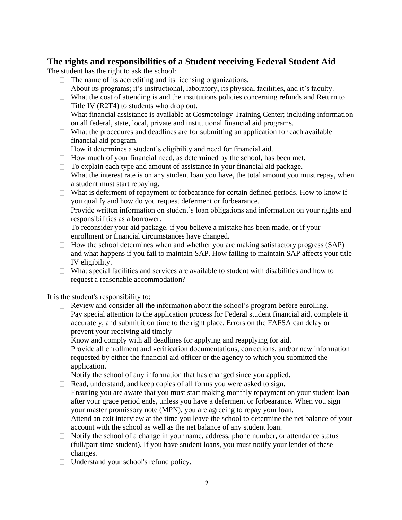### **The rights and responsibilities of a Student receiving Federal Student Aid**

The student has the right to ask the school:

- $\Box$  The name of its accrediting and its licensing organizations.
- $\Box$  About its programs; it's instructional, laboratory, its physical facilities, and it's faculty.
- $\Box$  What the cost of attending is and the institutions policies concerning refunds and Return to Title IV (R2T4) to students who drop out.
- What financial assistance is available at Cosmetology Training Center; including information on all federal, state, local, private and institutional financial aid programs.
- $\Box$  What the procedures and deadlines are for submitting an application for each available financial aid program.
- $\Box$  How it determines a student's eligibility and need for financial aid.
- $\Box$  How much of your financial need, as determined by the school, has been met.
- To explain each type and amount of assistance in your financial aid package.
- $\Box$  What the interest rate is on any student loan you have, the total amount you must repay, when a student must start repaying.
- $\Box$  What is deferment of repayment or forbearance for certain defined periods. How to know if you qualify and how do you request deferment or forbearance.
- □ Provide written information on student's loan obligations and information on your rights and responsibilities as a borrower.
- $\Box$  To reconsider your aid package, if you believe a mistake has been made, or if your enrollment or financial circumstances have changed.
- $\Box$  How the school determines when and whether you are making satisfactory progress (SAP) and what happens if you fail to maintain SAP. How failing to maintain SAP affects your title IV eligibility.
- What special facilities and services are available to student with disabilities and how to request a reasonable accommodation?

It is the student's responsibility to:

- $\Box$  Review and consider all the information about the school's program before enrolling.
- $\Box$  Pay special attention to the application process for Federal student financial aid, complete it accurately, and submit it on time to the right place. Errors on the FAFSA can delay or prevent your receiving aid timely
- $\Box$  Know and comply with all deadlines for applying and reapplying for aid.
- $\Box$  Provide all enrollment and verification documentations, corrections, and/or new information requested by either the financial aid officer or the agency to which you submitted the application.
- $\Box$  Notify the school of any information that has changed since you applied.
- $\Box$  Read, understand, and keep copies of all forms you were asked to sign.
- $\Box$  Ensuring you are aware that you must start making monthly repayment on your student loan after your grace period ends, unless you have a deferment or forbearance. When you sign your master promissory note (MPN), you are agreeing to repay your loan.
- $\Box$  Attend an exit interview at the time you leave the school to determine the net balance of your account with the school as well as the net balance of any student loan.
- $\Box$  Notify the school of a change in your name, address, phone number, or attendance status (full/part-time student). If you have student loans, you must notify your lender of these changes.
- Understand your school's refund policy.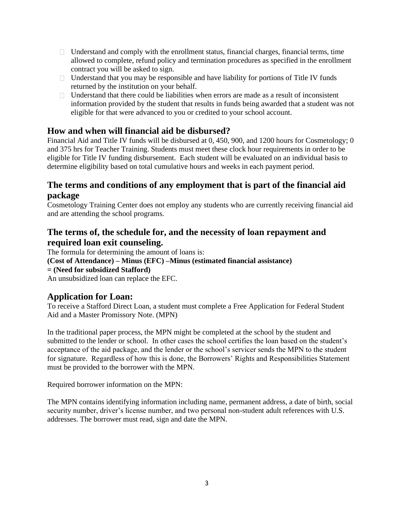- $\Box$  Understand and comply with the enrollment status, financial charges, financial terms, time allowed to complete, refund policy and termination procedures as specified in the enrollment contract you will be asked to sign.
- $\Box$  Understand that you may be responsible and have liability for portions of Title IV funds returned by the institution on your behalf.
- $\Box$  Understand that there could be liabilities when errors are made as a result of inconsistent information provided by the student that results in funds being awarded that a student was not eligible for that were advanced to you or credited to your school account.

## **How and when will financial aid be disbursed?**

Financial Aid and Title IV funds will be disbursed at 0, 450, 900, and 1200 hours for Cosmetology; 0 and 375 hrs for Teacher Training. Students must meet these clock hour requirements in order to be eligible for Title IV funding disbursement. Each student will be evaluated on an individual basis to determine eligibility based on total cumulative hours and weeks in each payment period.

## **The terms and conditions of any employment that is part of the financial aid package**

Cosmetology Training Center does not employ any students who are currently receiving financial aid and are attending the school programs.

## **The terms of, the schedule for, and the necessity of loan repayment and required loan exit counseling.**

The formula for determining the amount of loans is: **(Cost of Attendance) – Minus (EFC) –Minus (estimated financial assistance) = (Need for subsidized Stafford)**  An unsubsidized loan can replace the EFC.

## **Application for Loan:**

To receive a Stafford Direct Loan, a student must complete a Free Application for Federal Student Aid and a Master Promissory Note. (MPN)

In the traditional paper process, the MPN might be completed at the school by the student and submitted to the lender or school. In other cases the school certifies the loan based on the student's acceptance of the aid package, and the lender or the school's servicer sends the MPN to the student for signature. Regardless of how this is done, the Borrowers' Rights and Responsibilities Statement must be provided to the borrower with the MPN.

Required borrower information on the MPN:

The MPN contains identifying information including name, permanent address, a date of birth, social security number, driver's license number, and two personal non-student adult references with U.S. addresses. The borrower must read, sign and date the MPN.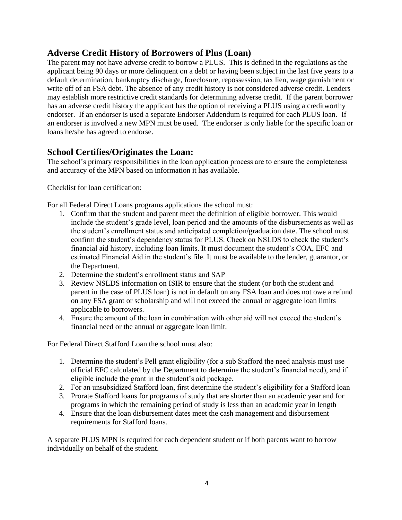### **Adverse Credit History of Borrowers of Plus (Loan)**

The parent may not have adverse credit to borrow a PLUS. This is defined in the regulations as the applicant being 90 days or more delinquent on a debt or having been subject in the last five years to a default determination, bankruptcy discharge, foreclosure, repossession, tax lien, wage garnishment or write off of an FSA debt. The absence of any credit history is not considered adverse credit. Lenders may establish more restrictive credit standards for determining adverse credit. If the parent borrower has an adverse credit history the applicant has the option of receiving a PLUS using a creditworthy endorser. If an endorser is used a separate Endorser Addendum is required for each PLUS loan. If an endorser is involved a new MPN must be used. The endorser is only liable for the specific loan or loans he/she has agreed to endorse.

#### **School Certifies/Originates the Loan:**

The school's primary responsibilities in the loan application process are to ensure the completeness and accuracy of the MPN based on information it has available.

Checklist for loan certification:

For all Federal Direct Loans programs applications the school must:

- 1. Confirm that the student and parent meet the definition of eligible borrower. This would include the student's grade level, loan period and the amounts of the disbursements as well as the student's enrollment status and anticipated completion/graduation date. The school must confirm the student's dependency status for PLUS. Check on NSLDS to check the student's financial aid history, including loan limits. It must document the student's COA, EFC and estimated Financial Aid in the student's file. It must be available to the lender, guarantor, or the Department.
- 2. Determine the student's enrollment status and SAP
- 3. Review NSLDS information on ISIR to ensure that the student (or both the student and parent in the case of PLUS loan) is not in default on any FSA loan and does not owe a refund on any FSA grant or scholarship and will not exceed the annual or aggregate loan limits applicable to borrowers.
- 4. Ensure the amount of the loan in combination with other aid will not exceed the student's financial need or the annual or aggregate loan limit.

For Federal Direct Stafford Loan the school must also:

- 1. Determine the student's Pell grant eligibility (for a sub Stafford the need analysis must use official EFC calculated by the Department to determine the student's financial need), and if eligible include the grant in the student's aid package.
- 2. For an unsubsidized Stafford loan, first determine the student's eligibility for a Stafford loan
- 3. Prorate Stafford loans for programs of study that are shorter than an academic year and for programs in which the remaining period of study is less than an academic year in length
- 4. Ensure that the loan disbursement dates meet the cash management and disbursement requirements for Stafford loans.

A separate PLUS MPN is required for each dependent student or if both parents want to borrow individually on behalf of the student.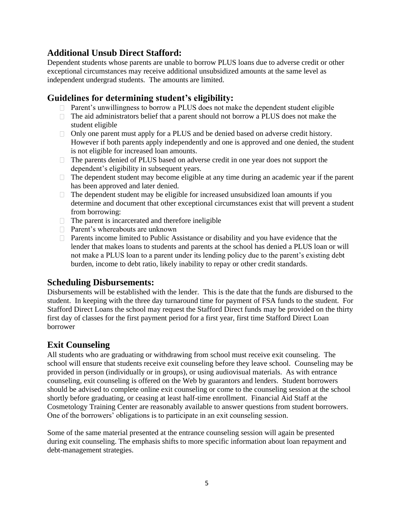## **Additional Unsub Direct Stafford:**

Dependent students whose parents are unable to borrow PLUS loans due to adverse credit or other exceptional circumstances may receive additional unsubsidized amounts at the same level as independent undergrad students. The amounts are limited.

#### **Guidelines for determining student's eligibility:**

- $\Box$  Parent's unwillingness to borrow a PLUS does not make the dependent student eligible
- $\Box$  The aid administrators belief that a parent should not borrow a PLUS does not make the student eligible
- Only one parent must apply for a PLUS and be denied based on adverse credit history. However if both parents apply independently and one is approved and one denied, the student is not eligible for increased loan amounts.
- $\Box$  The parents denied of PLUS based on adverse credit in one year does not support the dependent's eligibility in subsequent years.
- $\Box$  The dependent student may become eligible at any time during an academic year if the parent has been approved and later denied.
- $\Box$  The dependent student may be eligible for increased unsubsidized loan amounts if you determine and document that other exceptional circumstances exist that will prevent a student from borrowing:
- $\Box$  The parent is incarcerated and therefore ineligible
- Parent's whereabouts are unknown
- □ Parents income limited to Public Assistance or disability and you have evidence that the lender that makes loans to students and parents at the school has denied a PLUS loan or will not make a PLUS loan to a parent under its lending policy due to the parent's existing debt burden, income to debt ratio, likely inability to repay or other credit standards.

#### **Scheduling Disbursements:**

Disbursements will be established with the lender. This is the date that the funds are disbursed to the student. In keeping with the three day turnaround time for payment of FSA funds to the student. For Stafford Direct Loans the school may request the Stafford Direct funds may be provided on the thirty first day of classes for the first payment period for a first year, first time Stafford Direct Loan borrower

#### **Exit Counseling**

All students who are graduating or withdrawing from school must receive exit counseling. The school will ensure that students receive exit counseling before they leave school. Counseling may be provided in person (individually or in groups), or using audiovisual materials. As with entrance counseling, exit counseling is offered on the Web by guarantors and lenders. Student borrowers should be advised to complete online exit counseling or come to the counseling session at the school shortly before graduating, or ceasing at least half-time enrollment. Financial Aid Staff at the Cosmetology Training Center are reasonably available to answer questions from student borrowers. One of the borrowers' obligations is to participate in an exit counseling session.

Some of the same material presented at the entrance counseling session will again be presented during exit counseling. The emphasis shifts to more specific information about loan repayment and debt-management strategies.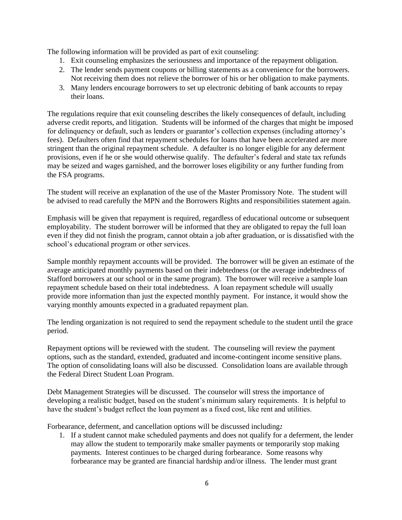The following information will be provided as part of exit counseling:

- 1. Exit counseling emphasizes the seriousness and importance of the repayment obligation.
- 2. The lender sends payment coupons or billing statements as a convenience for the borrowers. Not receiving them does not relieve the borrower of his or her obligation to make payments.
- 3. Many lenders encourage borrowers to set up electronic debiting of bank accounts to repay their loans.

The regulations require that exit counseling describes the likely consequences of default, including adverse credit reports, and litigation. Students will be informed of the charges that might be imposed for delinquency or default, such as lenders or guarantor's collection expenses (including attorney's fees). Defaulters often find that repayment schedules for loans that have been accelerated are more stringent than the original repayment schedule. A defaulter is no longer eligible for any deferment provisions, even if he or she would otherwise qualify. The defaulter's federal and state tax refunds may be seized and wages garnished, and the borrower loses eligibility or any further funding from the FSA programs.

The student will receive an explanation of the use of the Master Promissory Note. The student will be advised to read carefully the MPN and the Borrowers Rights and responsibilities statement again.

Emphasis will be given that repayment is required, regardless of educational outcome or subsequent employability. The student borrower will be informed that they are obligated to repay the full loan even if they did not finish the program, cannot obtain a job after graduation, or is dissatisfied with the school's educational program or other services.

Sample monthly repayment accounts will be provided. The borrower will be given an estimate of the average anticipated monthly payments based on their indebtedness (or the average indebtedness of Stafford borrowers at our school or in the same program). The borrower will receive a sample loan repayment schedule based on their total indebtedness. A loan repayment schedule will usually provide more information than just the expected monthly payment. For instance, it would show the varying monthly amounts expected in a graduated repayment plan.

The lending organization is not required to send the repayment schedule to the student until the grace period.

Repayment options will be reviewed with the student. The counseling will review the payment options, such as the standard, extended, graduated and income-contingent income sensitive plans. The option of consolidating loans will also be discussed. Consolidation loans are available through the Federal Direct Student Loan Program.

Debt Management Strategies will be discussed. The counselor will stress the importance of developing a realistic budget, based on the student's minimum salary requirements. It is helpful to have the student's budget reflect the loan payment as a fixed cost, like rent and utilities.

Forbearance, deferment, and cancellation options will be discussed including*:* 

1. If a student cannot make scheduled payments and does not qualify for a deferment, the lender may allow the student to temporarily make smaller payments or temporarily stop making payments. Interest continues to be charged during forbearance. Some reasons why forbearance may be granted are financial hardship and/or illness. The lender must grant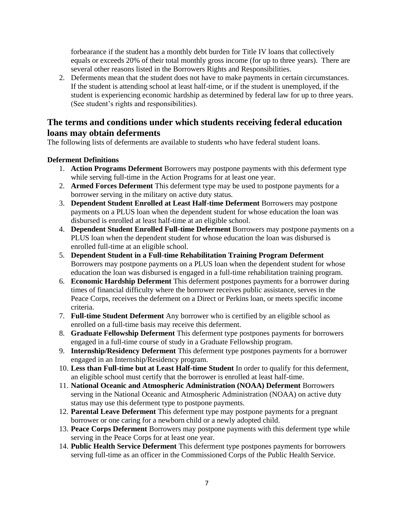forbearance if the student has a monthly debt burden for Title IV loans that collectively equals or exceeds 20% of their total monthly gross income (for up to three years). There are several other reasons listed in the Borrowers Rights and Responsibilities.

2. Deferments mean that the student does not have to make payments in certain circumstances. If the student is attending school at least half-time, or if the student is unemployed, if the student is experiencing economic hardship as determined by federal law for up to three years. (See student's rights and responsibilities).

#### **The terms and conditions under which students receiving federal education loans may obtain deferments**

The following lists of deferments are available to students who have federal student loans.

#### **Deferment Definitions**

- 1. **Action Programs Deferment** Borrowers may postpone payments with this deferment type while serving full-time in the Action Programs for at least one year.
- 2. **Armed Forces Deferment** This deferment type may be used to postpone payments for a borrower serving in the military on active duty status.
- 3. **Dependent Student Enrolled at Least Half-time Deferment** Borrowers may postpone payments on a PLUS loan when the dependent student for whose education the loan was disbursed is enrolled at least half-time at an eligible school.
- 4. **Dependent Student Enrolled Full-time Deferment** Borrowers may postpone payments on a PLUS loan when the dependent student for whose education the loan was disbursed is enrolled full-time at an eligible school.
- 5. **Dependent Student in a Full-time Rehabilitation Training Program Deferment**  Borrowers may postpone payments on a PLUS loan when the dependent student for whose education the loan was disbursed is engaged in a full-time rehabilitation training program.
- 6. **Economic Hardship Deferment** This deferment postpones payments for a borrower during times of financial difficulty where the borrower receives public assistance, serves in the Peace Corps, receives the deferment on a Direct or Perkins loan, or meets specific income criteria.
- 7. **Full-time Student Deferment** Any borrower who is certified by an eligible school as enrolled on a full-time basis may receive this deferment.
- 8. **Graduate Fellowship Deferment** This deferment type postpones payments for borrowers engaged in a full-time course of study in a Graduate Fellowship program.
- 9. **Internship/Residency Deferment** This deferment type postpones payments for a borrower engaged in an Internship/Residency program.
- 10. **Less than Full-time but at Least Half-time Student** In order to qualify for this deferment, an eligible school must certify that the borrower is enrolled at least half-time.
- 11. **National Oceanic and Atmospheric Administration (NOAA) Deferment** Borrowers serving in the National Oceanic and Atmospheric Administration (NOAA) on active duty status may use this deferment type to postpone payments.
- 12. **Parental Leave Deferment** This deferment type may postpone payments for a pregnant borrower or one caring for a newborn child or a newly adopted child.
- 13. **Peace Corps Deferment** Borrowers may postpone payments with this deferment type while serving in the Peace Corps for at least one year.
- 14. **Public Health Service Deferment** This deferment type postpones payments for borrowers serving full-time as an officer in the Commissioned Corps of the Public Health Service.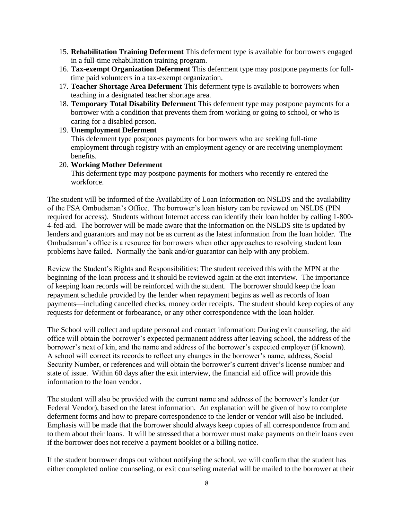- 15. **Rehabilitation Training Deferment** This deferment type is available for borrowers engaged in a full-time rehabilitation training program.
- 16. **Tax-exempt Organization Deferment** This deferment type may postpone payments for fulltime paid volunteers in a tax-exempt organization.
- 17. **Teacher Shortage Area Deferment** This deferment type is available to borrowers when teaching in a designated teacher shortage area.
- 18. **Temporary Total Disability Deferment** This deferment type may postpone payments for a borrower with a condition that prevents them from working or going to school, or who is caring for a disabled person.
- 19. **Unemployment Deferment**

This deferment type postpones payments for borrowers who are seeking full-time employment through registry with an employment agency or are receiving unemployment benefits.

#### 20. **Working Mother Deferment**

This deferment type may postpone payments for mothers who recently re-entered the workforce.

The student will be informed of the Availability of Loan Information on NSLDS and the availability of the FSA Ombudsman's Office. The borrower's loan history can be reviewed on NSLDS (PIN required for access). Students without Internet access can identify their loan holder by calling 1-800- 4-fed-aid. The borrower will be made aware that the information on the NSLDS site is updated by lenders and guarantors and may not be as current as the latest information from the loan holder. The Ombudsman's office is a resource for borrowers when other approaches to resolving student loan problems have failed. Normally the bank and/or guarantor can help with any problem.

Review the Student's Rights and Responsibilities: The student received this with the MPN at the beginning of the loan process and it should be reviewed again at the exit interview. The importance of keeping loan records will be reinforced with the student. The borrower should keep the loan repayment schedule provided by the lender when repayment begins as well as records of loan payments—including cancelled checks, money order receipts. The student should keep copies of any requests for deferment or forbearance, or any other correspondence with the loan holder.

The School will collect and update personal and contact information: During exit counseling, the aid office will obtain the borrower's expected permanent address after leaving school, the address of the borrower's next of kin, and the name and address of the borrower's expected employer (if known). A school will correct its records to reflect any changes in the borrower's name, address, Social Security Number, or references and will obtain the borrower's current driver's license number and state of issue. Within 60 days after the exit interview, the financial aid office will provide this information to the loan vendor.

The student will also be provided with the current name and address of the borrower's lender (or Federal Vendor), based on the latest information. An explanation will be given of how to complete deferment forms and how to prepare correspondence to the lender or vendor will also be included. Emphasis will be made that the borrower should always keep copies of all correspondence from and to them about their loans. It will be stressed that a borrower must make payments on their loans even if the borrower does not receive a payment booklet or a billing notice.

If the student borrower drops out without notifying the school, we will confirm that the student has either completed online counseling, or exit counseling material will be mailed to the borrower at their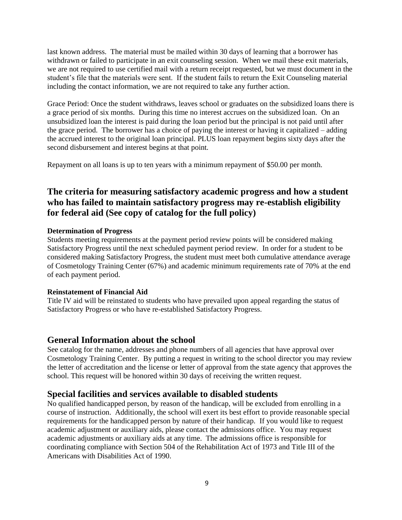last known address. The material must be mailed within 30 days of learning that a borrower has withdrawn or failed to participate in an exit counseling session. When we mail these exit materials, we are not required to use certified mail with a return receipt requested, but we must document in the student's file that the materials were sent. If the student fails to return the Exit Counseling material including the contact information, we are not required to take any further action.

Grace Period: Once the student withdraws, leaves school or graduates on the subsidized loans there is a grace period of six months. During this time no interest accrues on the subsidized loan. On an unsubsidized loan the interest is paid during the loan period but the principal is not paid until after the grace period. The borrower has a choice of paying the interest or having it capitalized – adding the accrued interest to the original loan principal. PLUS loan repayment begins sixty days after the second disbursement and interest begins at that point.

Repayment on all loans is up to ten years with a minimum repayment of \$50.00 per month.

## **The criteria for measuring satisfactory academic progress and how a student who has failed to maintain satisfactory progress may re-establish eligibility for federal aid (See copy of catalog for the full policy)**

#### **Determination of Progress**

Students meeting requirements at the payment period review points will be considered making Satisfactory Progress until the next scheduled payment period review. In order for a student to be considered making Satisfactory Progress, the student must meet both cumulative attendance average of Cosmetology Training Center (67%) and academic minimum requirements rate of 70% at the end of each payment period.

#### **Reinstatement of Financial Aid**

Title IV aid will be reinstated to students who have prevailed upon appeal regarding the status of Satisfactory Progress or who have re-established Satisfactory Progress.

#### **General Information about the school**

See catalog for the name, addresses and phone numbers of all agencies that have approval over Cosmetology Training Center. By putting a request in writing to the school director you may review the letter of accreditation and the license or letter of approval from the state agency that approves the school. This request will be honored within 30 days of receiving the written request.

#### **Special facilities and services available to disabled students**

No qualified handicapped person, by reason of the handicap, will be excluded from enrolling in a course of instruction. Additionally, the school will exert its best effort to provide reasonable special requirements for the handicapped person by nature of their handicap. If you would like to request academic adjustment or auxiliary aids, please contact the admissions office. You may request academic adjustments or auxiliary aids at any time. The admissions office is responsible for coordinating compliance with Section 504 of the Rehabilitation Act of 1973 and Title III of the Americans with Disabilities Act of 1990.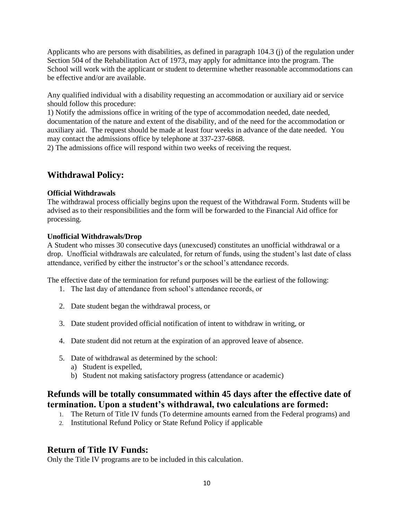Applicants who are persons with disabilities, as defined in paragraph 104.3 (j) of the regulation under Section 504 of the Rehabilitation Act of 1973, may apply for admittance into the program. The School will work with the applicant or student to determine whether reasonable accommodations can be effective and/or are available.

Any qualified individual with a disability requesting an accommodation or auxiliary aid or service should follow this procedure:

1) Notify the admissions office in writing of the type of accommodation needed, date needed, documentation of the nature and extent of the disability, and of the need for the accommodation or auxiliary aid. The request should be made at least four weeks in advance of the date needed. You may contact the admissions office by telephone at 337-237-6868.

2) The admissions office will respond within two weeks of receiving the request.

### **Withdrawal Policy:**

#### **Official Withdrawals**

The withdrawal process officially begins upon the request of the Withdrawal Form. Students will be advised as to their responsibilities and the form will be forwarded to the Financial Aid office for processing.

#### **Unofficial Withdrawals/Drop**

A Student who misses 30 consecutive days (unexcused) constitutes an unofficial withdrawal or a drop. Unofficial withdrawals are calculated, for return of funds, using the student's last date of class attendance, verified by either the instructor's or the school's attendance records.

The effective date of the termination for refund purposes will be the earliest of the following:

- 1. The last day of attendance from school's attendance records, or
- 2. Date student began the withdrawal process, or
- 3. Date student provided official notification of intent to withdraw in writing, or
- 4. Date student did not return at the expiration of an approved leave of absence.
- 5. Date of withdrawal as determined by the school:
	- a) Student is expelled,
	- b) Student not making satisfactory progress (attendance or academic)

## **Refunds will be totally consummated within 45 days after the effective date of termination. Upon a student's withdrawal, two calculations are formed:**

- 1. The Return of Title IV funds (To determine amounts earned from the Federal programs) and
- 2. Institutional Refund Policy or State Refund Policy if applicable

#### **Return of Title IV Funds:**

Only the Title IV programs are to be included in this calculation.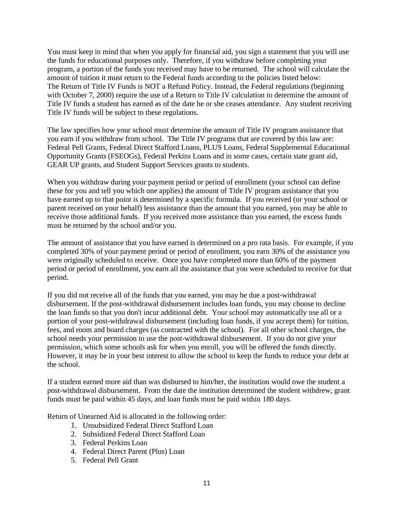You must keep in mind that when you apply for financial aid, you sign a statement that you will use the funds for educational purposes only. Therefore, if you withdraw before completing your program, a portion of the funds you received may have to be returned. The school will calculate the amount of tuition it must return to the Federal funds according to the policies listed below: The Return of Title IV Funds is NOT a Refund Policy. Instead, the Federal regulations (beginning with October 7, 2000) require the use of a Return to Title IV calculation to determine the amount of Title IV funds a student has earned as of the date he or she ceases attendance. Any student receiving Title IV funds will be subject to these regulations.

The law specifies how your school must determine the amount of Title IV program assistance that you earn if you withdraw from school. The Title IV programs that are covered by this law are: Federal Pell Grants, Federal Direct Stafford Loans, PLUS Loans, Federal Supplemental Educational Opportunity Grants (FSEOGs), Federal Perkins Loans and in some cases, certain state grant aid, GEAR UP grants, and Student Support Services grants to students.

When you withdraw during your payment period or period of enrollment (your school can define these for you and tell you which one applies) the amount of Title IV program assistance that you have earned up to that point is determined by a specific formula. If you received (or your school or parent received on your behalf) less assistance than the amount that you earned, you may be able to receive those additional funds. If you received more assistance than you earned, the excess funds must be returned by the school and/or you.

The amount of assistance that you have earned is determined on a pro rata basis. For example, if you completed 30% of your payment period or period of enrollment, you earn 30% of the assistance you were originally scheduled to receive. Once you have completed more than 60% of the payment period or period of enrollment, you earn all the assistance that you were scheduled to receive for that period.

If you did not receive all of the funds that you earned, you may be due a post-withdrawal disbursement. If the post-withdrawal disbursement includes loan funds, you may choose to decline the loan funds so that you don't incur additional debt. Your school may automatically use all or a portion of your post-withdrawal disbursement (including loan funds, if you accept them) for tuition, fees, and room and board charges (as contracted with the school). For all other school charges, the school needs your permission to use the post-withdrawal disbursement. If you do not give your permission, which some schools ask for when you enroll, you will be offered the funds directly. However, it may be in your best interest to allow the school to keep the funds to reduce your debt at the school.

If a student earned more aid than was disbursed to him/her, the institution would owe the student a post-withdrawal disbursement. From the date the institution determined the student withdrew, grant funds must be paid within 45 days, and loan funds must be paid within 180 days.

Return of Unearned Aid is allocated in the following order:

- 1. Unsubsidized Federal Direct Stafford Loan
- 2. Subsidized Federal Direct Stafford Loan
- 3. Federal Perkins Loan
- 4. Federal Direct Parent (Plus) Loan
- 5. Federal Pell Grant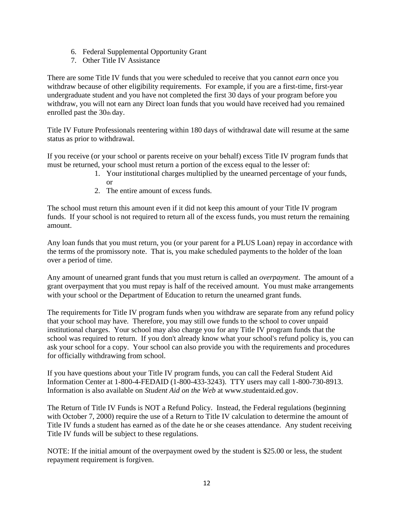- 6. Federal Supplemental Opportunity Grant
- 7. Other Title IV Assistance

There are some Title IV funds that you were scheduled to receive that you cannot *earn* once you withdraw because of other eligibility requirements. For example, if you are a first-time, first-year undergraduate student and you have not completed the first 30 days of your program before you withdraw, you will not earn any Direct loan funds that you would have received had you remained enrolled past the 30th day.

Title IV Future Professionals reentering within 180 days of withdrawal date will resume at the same status as prior to withdrawal.

If you receive (or your school or parents receive on your behalf) excess Title IV program funds that must be returned, your school must return a portion of the excess equal to the lesser of:

- 1. Your institutional charges multiplied by the unearned percentage of your funds, or
- 2. The entire amount of excess funds.

The school must return this amount even if it did not keep this amount of your Title IV program funds. If your school is not required to return all of the excess funds, you must return the remaining amount.

Any loan funds that you must return, you (or your parent for a PLUS Loan) repay in accordance with the terms of the promissory note. That is, you make scheduled payments to the holder of the loan over a period of time.

Any amount of unearned grant funds that you must return is called an *overpayment*. The amount of a grant overpayment that you must repay is half of the received amount. You must make arrangements with your school or the Department of Education to return the unearned grant funds.

The requirements for Title IV program funds when you withdraw are separate from any refund policy that your school may have. Therefore, you may still owe funds to the school to cover unpaid institutional charges. Your school may also charge you for any Title IV program funds that the school was required to return. If you don't already know what your school's refund policy is, you can ask your school for a copy. Your school can also provide you with the requirements and procedures for officially withdrawing from school.

If you have questions about your Title IV program funds, you can call the Federal Student Aid Information Center at 1-800-4-FEDAID (1-800-433-3243). TTY users may call 1-800-730-8913. Information is also available on *Student Aid on the Web* at www.studentaid.ed.gov.

The Return of Title IV Funds is NOT a Refund Policy. Instead, the Federal regulations (beginning with October 7, 2000) require the use of a Return to Title IV calculation to determine the amount of Title IV funds a student has earned as of the date he or she ceases attendance. Any student receiving Title IV funds will be subject to these regulations.

NOTE: If the initial amount of the overpayment owed by the student is \$25.00 or less, the student repayment requirement is forgiven.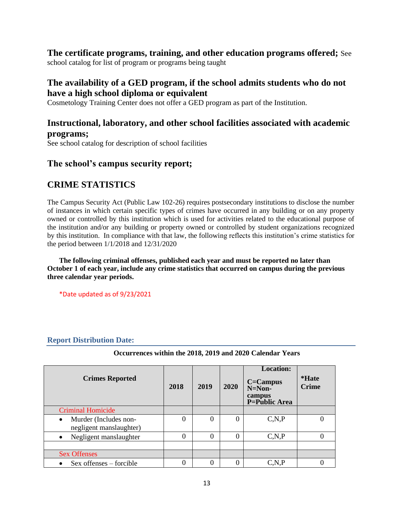# **The certificate programs, training, and other education programs offered;** See

school catalog for list of program or programs being taught

## **The availability of a GED program, if the school admits students who do not have a high school diploma or equivalent**

Cosmetology Training Center does not offer a GED program as part of the Institution.

#### **Instructional, laboratory, and other school facilities associated with academic programs;**

See school catalog for description of school facilities

### **The school's campus security report;**

## **CRIME STATISTICS**

The Campus Security Act (Public Law 102-26) requires postsecondary institutions to disclose the number of instances in which certain specific types of crimes have occurred in any building or on any property owned or controlled by this institution which is used for activities related to the educational purpose of the institution and/or any building or property owned or controlled by student organizations recognized by this institution. In compliance with that law, the following reflects this institution's crime statistics for the period between 1/1/2018 and 12/31/2020

**The following criminal offenses, published each year and must be reported no later than October 1 of each year, include any crime statistics that occurred on campus during the previous three calendar year periods.**

\*Date updated as of 9/23/2021

#### **Report Distribution Date:**

| <b>Crimes Reported</b>                                        | 2018 | 2019 | 2020     | <b>Location:</b><br>$C =$ Campus<br>$N=Non-$<br>campus<br><b>P=Public Area</b> | *Hate<br><b>Crime</b> |
|---------------------------------------------------------------|------|------|----------|--------------------------------------------------------------------------------|-----------------------|
| <b>Criminal Homicide</b>                                      |      |      |          |                                                                                |                       |
| Murder (Includes non-<br>$\bullet$<br>negligent manslaughter) | 0    | 0    | $\theta$ | C, N, P                                                                        | 0                     |
| Negligent manslaughter<br>$\bullet$                           | 0    | 0    | $\Omega$ | C, N, P                                                                        |                       |
|                                                               |      |      |          |                                                                                |                       |
| <b>Sex Offenses</b>                                           |      |      |          |                                                                                |                       |
| $Sex$ offenses – forcible                                     | 0    |      |          | C, N, P                                                                        |                       |

#### **Occurrences within the 2018, 2019 and 2020 Calendar Years**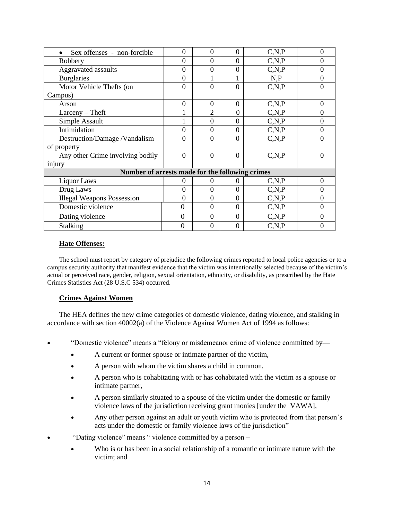| Sex offenses - non-forcible                     | 0              | $\overline{0}$ | $\overline{0}$   | C, N, P | $\overline{0}$ |
|-------------------------------------------------|----------------|----------------|------------------|---------|----------------|
| Robbery                                         | 0              | $\theta$       | $\overline{0}$   | C, N, P | $\Omega$       |
| Aggravated assaults                             | $\overline{0}$ | $\theta$       | $\overline{0}$   | C, N, P | $\Omega$       |
| <b>Burglaries</b>                               | $\overline{0}$ |                |                  | N, P    | 0              |
| Motor Vehicle Thefts (on                        | $\overline{0}$ | $\theta$       | $\overline{0}$   | C, N, P | $\theta$       |
| Campus)                                         |                |                |                  |         |                |
| Arson                                           | $\overline{0}$ | $\overline{0}$ | $\overline{0}$   | C, N, P | $\theta$       |
| $Larceny - Theft$                               |                | $\mathfrak{D}$ | $\boldsymbol{0}$ | C, N, P | 0              |
| Simple Assault                                  |                | $\overline{0}$ | $\overline{0}$   | C, N, P | $\theta$       |
| Intimidation                                    | 0              | $\overline{0}$ | $\overline{0}$   | C, N, P | 0              |
| Destruction/Damage /Vandalism                   | $\overline{0}$ | $\theta$       | $\Omega$         | C, N, P | $\Omega$       |
| of property                                     |                |                |                  |         |                |
| Any other Crime involving bodily                | $\theta$       | $\Omega$       | $\Omega$         | C.N.P   | $\Omega$       |
| injury                                          |                |                |                  |         |                |
| Number of arrests made for the following crimes |                |                |                  |         |                |
| Liquor Laws                                     | $\theta$       | $\Omega$       | $\Omega$         | C, N, P | $\Omega$       |
| Drug Laws                                       | $\overline{0}$ | $\overline{0}$ | $\overline{0}$   | C, N, P | $\Omega$       |
| <b>Illegal Weapons Possession</b>               | $\overline{0}$ | $\overline{0}$ | $\overline{0}$   | C, N, P | $\theta$       |
| Domestic violence                               | $\theta$       | $\theta$       | $\theta$         | C, N, P | $\Omega$       |
| Dating violence                                 | $\Omega$       | $\theta$       | $\theta$         | C, N, P | $\Omega$       |
| <b>Stalking</b>                                 | $\theta$       | $\Omega$       | $\overline{0}$   | C, N, P | 0              |

#### **Hate Offenses:**

The school must report by category of prejudice the following crimes reported to local police agencies or to a campus security authority that manifest evidence that the victim was intentionally selected because of the victim's actual or perceived race, gender, religion, sexual orientation, ethnicity, or disability, as prescribed by the Hate Crimes Statistics Act (28 U.S.C 534) occurred.

#### **Crimes Against Women**

The HEA defines the new crime categories of domestic violence, dating violence, and stalking in accordance with section 40002(a) of the Violence Against Women Act of 1994 as follows:

- "Domestic violence" means a "felony or misdemeanor crime of violence committed by—
	- A current or former spouse or intimate partner of the victim,
	- A person with whom the victim shares a child in common,
	- A person who is cohabitating with or has cohabitated with the victim as a spouse or intimate partner,
	- A person similarly situated to a spouse of the victim under the domestic or family violence laws of the jurisdiction receiving grant monies [under the VAWA],
	- Any other person against an adult or youth victim who is protected from that person's acts under the domestic or family violence laws of the jurisdiction"
- "Dating violence" means "violence committed by a person
	- Who is or has been in a social relationship of a romantic or intimate nature with the victim; and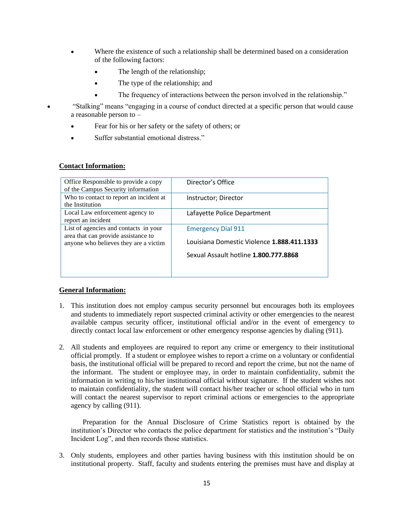- Where the existence of such a relationship shall be determined based on a consideration of the following factors:
	- The length of the relationship;
	- The type of the relationship; and
	- The frequency of interactions between the person involved in the relationship."
- "Stalking" means "engaging in a course of conduct directed at a specific person that would cause a reasonable person to –
	- Fear for his or her safety or the safety of others; or
	- Suffer substantial emotional distress."

#### **Contact Information:**

| Director's Office                          |
|--------------------------------------------|
| Instructor; Director                       |
| Lafayette Police Department                |
| <b>Emergency Dial 911</b>                  |
| Louisiana Domestic Violence 1.888.411.1333 |
| Sexual Assault hotline 1.800.777.8868      |
|                                            |
|                                            |

#### **General Information:**

- 1. This institution does not employ campus security personnel but encourages both its employees and students to immediately report suspected criminal activity or other emergencies to the nearest available campus security officer, institutional official and/or in the event of emergency to directly contact local law enforcement or other emergency response agencies by dialing (911).
- 2. All students and employees are required to report any crime or emergency to their institutional official promptly. If a student or employee wishes to report a crime on a voluntary or confidential basis, the institutional official will be prepared to record and report the crime, but not the name of the informant. The student or employee may, in order to maintain confidentiality, submit the information in writing to his/her institutional official without signature. If the student wishes not to maintain confidentiality, the student will contact his/her teacher or school official who in turn will contact the nearest supervisor to report criminal actions or emergencies to the appropriate agency by calling (911).

Preparation for the Annual Disclosure of Crime Statistics report is obtained by the institution's Director who contacts the police department for statistics and the institution's "Daily Incident Log", and then records those statistics.

3. Only students, employees and other parties having business with this institution should be on institutional property. Staff, faculty and students entering the premises must have and display at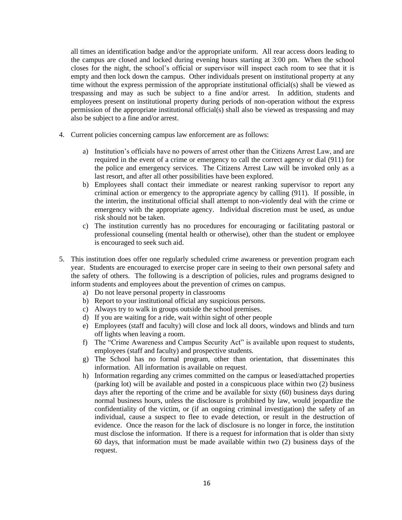all times an identification badge and/or the appropriate uniform. All rear access doors leading to the campus are closed and locked during evening hours starting at 3:00 pm. When the school closes for the night, the school's official or supervisor will inspect each room to see that it is empty and then lock down the campus. Other individuals present on institutional property at any time without the express permission of the appropriate institutional official(s) shall be viewed as trespassing and may as such be subject to a fine and/or arrest. In addition, students and employees present on institutional property during periods of non-operation without the express permission of the appropriate institutional official(s) shall also be viewed as trespassing and may also be subject to a fine and/or arrest.

- 4. Current policies concerning campus law enforcement are as follows:
	- a) Institution's officials have no powers of arrest other than the Citizens Arrest Law, and are required in the event of a crime or emergency to call the correct agency or dial (911) for the police and emergency services. The Citizens Arrest Law will be invoked only as a last resort, and after all other possibilities have been explored.
	- b) Employees shall contact their immediate or nearest ranking supervisor to report any criminal action or emergency to the appropriate agency by calling (911). If possible, in the interim, the institutional official shall attempt to non-violently deal with the crime or emergency with the appropriate agency. Individual discretion must be used, as undue risk should not be taken.
	- c) The institution currently has no procedures for encouraging or facilitating pastoral or professional counseling (mental health or otherwise), other than the student or employee is encouraged to seek such aid.
- 5. This institution does offer one regularly scheduled crime awareness or prevention program each year. Students are encouraged to exercise proper care in seeing to their own personal safety and the safety of others. The following is a description of policies, rules and programs designed to inform students and employees about the prevention of crimes on campus.
	- a) Do not leave personal property in classrooms
	- b) Report to your institutional official any suspicious persons.
	- c) Always try to walk in groups outside the school premises.
	- d) If you are waiting for a ride, wait within sight of other people
	- e) Employees (staff and faculty) will close and lock all doors, windows and blinds and turn off lights when leaving a room.
	- f) The "Crime Awareness and Campus Security Act" is available upon request to students, employees (staff and faculty) and prospective students.
	- g) The School has no formal program, other than orientation, that disseminates this information. All information is available on request.
	- h) Information regarding any crimes committed on the campus or leased/attached properties (parking lot) will be available and posted in a conspicuous place within two (2) business days after the reporting of the crime and be available for sixty (60) business days during normal business hours, unless the disclosure is prohibited by law, would jeopardize the confidentiality of the victim, or (if an ongoing criminal investigation) the safety of an individual, cause a suspect to flee to evade detection, or result in the destruction of evidence. Once the reason for the lack of disclosure is no longer in force, the institution must disclose the information. If there is a request for information that is older than sixty 60 days, that information must be made available within two (2) business days of the request.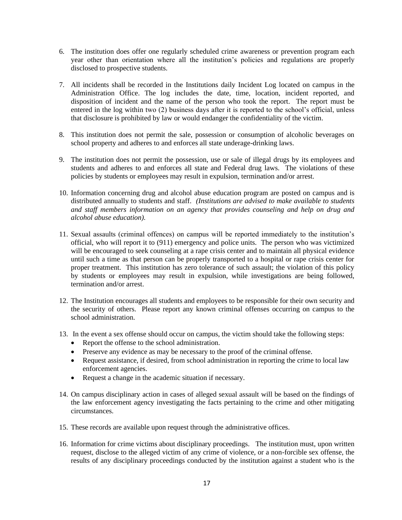- 6. The institution does offer one regularly scheduled crime awareness or prevention program each year other than orientation where all the institution's policies and regulations are properly disclosed to prospective students.
- 7. All incidents shall be recorded in the Institutions daily Incident Log located on campus in the Administration Office. The log includes the date, time, location, incident reported, and disposition of incident and the name of the person who took the report. The report must be entered in the log within two (2) business days after it is reported to the school's official, unless that disclosure is prohibited by law or would endanger the confidentiality of the victim.
- 8. This institution does not permit the sale, possession or consumption of alcoholic beverages on school property and adheres to and enforces all state underage-drinking laws.
- 9. The institution does not permit the possession, use or sale of illegal drugs by its employees and students and adheres to and enforces all state and Federal drug laws. The violations of these policies by students or employees may result in expulsion, termination and/or arrest.
- 10. Information concerning drug and alcohol abuse education program are posted on campus and is distributed annually to students and staff. *(Institutions are advised to make available to students and staff members information on an agency that provides counseling and help on drug and alcohol abuse education).*
- 11. Sexual assaults (criminal offences) on campus will be reported immediately to the institution's official, who will report it to (911) emergency and police units. The person who was victimized will be encouraged to seek counseling at a rape crisis center and to maintain all physical evidence until such a time as that person can be properly transported to a hospital or rape crisis center for proper treatment. This institution has zero tolerance of such assault; the violation of this policy by students or employees may result in expulsion, while investigations are being followed, termination and/or arrest.
- 12. The Institution encourages all students and employees to be responsible for their own security and the security of others. Please report any known criminal offenses occurring on campus to the school administration.
- 13. In the event a sex offense should occur on campus, the victim should take the following steps:
	- Report the offense to the school administration.
	- Preserve any evidence as may be necessary to the proof of the criminal offense.
	- Request assistance, if desired, from school administration in reporting the crime to local law enforcement agencies.
	- Request a change in the academic situation if necessary.
- 14. On campus disciplinary action in cases of alleged sexual assault will be based on the findings of the law enforcement agency investigating the facts pertaining to the crime and other mitigating circumstances.
- 15. These records are available upon request through the administrative offices.
- 16. Information for crime victims about disciplinary proceedings. The institution must, upon written request, disclose to the alleged victim of any crime of violence, or a non-forcible sex offense, the results of any disciplinary proceedings conducted by the institution against a student who is the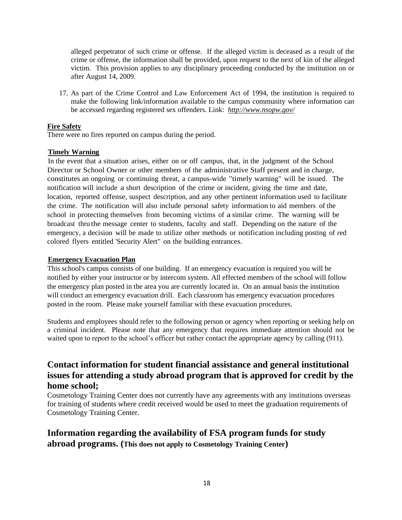alleged perpetrator of such crime or offense. If the alleged victim is deceased as a result of the crime or offense, the information shall be provided, upon request to the next of kin of the alleged victim. This provision applies to any disciplinary proceeding conducted by the institution on or after August 14, 2009.

17. As part of the Crime Control and Law Enforcement Act of 1994, the institution is required to make the following link/information available to the campus community where information can be accessed regarding registered sex offenders. Link: *<http://www.nsopw.gov/>*

#### **Fire Safety**

There were no fires reported on campus during the period.

#### **Timely Warning**

In the event that a situation arises, either on or off campus, that, in the judgment of the School Director or School Owner or other members of the administrative Staff present and in charge, constitutes an ongoing or continuing threat, a campus-wide "timely warning" will be issued. The notification will include a short description of the crime or incident, giving the time and date, location, reported offense, suspect description, and any other pertinent information used to facilitate the crime. The notification will also include personal safety information to aid members of the school in protecting themselves from becoming victims of a similar crime. The warning will be broadcast thru the message center to students, faculty and staff. Depending on the nature of the emergency, a decision will be made to utilize other methods or notification including posting of red colored flyers entitled 'Security Alert" on the building entrances.

#### **Emergency Evacuation Plan**

This school's campus consists of one building. If an emergency evacuation is required you will be notified by either your instructor or by intercom system. All effected members of the school will follow the emergency plan posted in the area you are currently located in. On an annual basis the institution will conduct an emergency evacuation drill. Each classroom has emergency evacuation procedures posted in the room. Please make yourself familiar with these evacuation procedures.

Students and employees should refer to the following person or agency when reporting or seeking help on a criminal incident. Please note that any emergency that requires immediate attention should not be waited upon to report to the school's officer but rather contact the appropriate agency by calling (911).

### **Contact information for student financial assistance and general institutional issues for attending a study abroad program that is approved for credit by the home school;**

Cosmetology Training Center does not currently have any agreements with any institutions overseas for training of students where credit received would be used to meet the graduation requirements of Cosmetology Training Center.

### **Information regarding the availability of FSA program funds for study abroad programs. (This does not apply to Cosmetology Training Center)**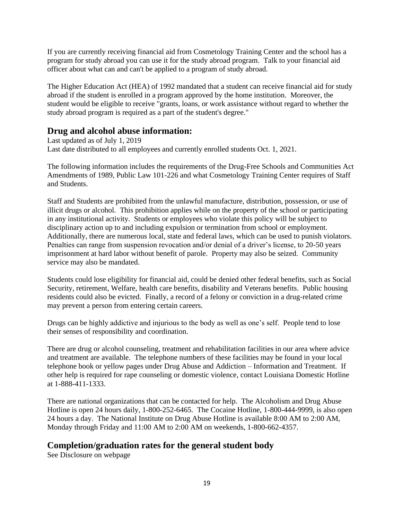If you are currently receiving financial aid from Cosmetology Training Center and the school has a program for study abroad you can use it for the study abroad program. Talk to your financial aid officer about what can and can't be applied to a program of study abroad.

The Higher Education Act (HEA) of 1992 mandated that a student can receive financial aid for study abroad if the student is enrolled in a program approved by the home institution. Moreover, the student would be eligible to receive "grants, loans, or work assistance without regard to whether the study abroad program is required as a part of the student's degree."

#### **Drug and alcohol abuse information:**

Last updated as of July 1, 2019 Last date distributed to all employees and currently enrolled students Oct. 1, 2021.

The following information includes the requirements of the Drug-Free Schools and Communities Act Amendments of 1989, Public Law 101-226 and what Cosmetology Training Center requires of Staff and Students.

Staff and Students are prohibited from the unlawful manufacture, distribution, possession, or use of illicit drugs or alcohol. This prohibition applies while on the property of the school or participating in any institutional activity. Students or employees who violate this policy will be subject to disciplinary action up to and including expulsion or termination from school or employment. Additionally, there are numerous local, state and federal laws, which can be used to punish violators. Penalties can range from suspension revocation and/or denial of a driver's license, to 20-50 years imprisonment at hard labor without benefit of parole. Property may also be seized. Community service may also be mandated.

Students could lose eligibility for financial aid, could be denied other federal benefits, such as Social Security, retirement, Welfare, health care benefits, disability and Veterans benefits. Public housing residents could also be evicted. Finally, a record of a felony or conviction in a drug-related crime may prevent a person from entering certain careers.

Drugs can be highly addictive and injurious to the body as well as one's self. People tend to lose their senses of responsibility and coordination.

There are drug or alcohol counseling, treatment and rehabilitation facilities in our area where advice and treatment are available. The telephone numbers of these facilities may be found in your local telephone book or yellow pages under Drug Abuse and Addiction – Information and Treatment. If other help is required for rape counseling or domestic violence, contact Louisiana Domestic Hotline at 1-888-411-1333.

There are national organizations that can be contacted for help. The Alcoholism and Drug Abuse Hotline is open 24 hours daily, 1-800-252-6465. The Cocaine Hotline, 1-800-444-9999, is also open 24 hours a day. The National Institute on Drug Abuse Hotline is available 8:00 AM to 2:00 AM, Monday through Friday and 11:00 AM to 2:00 AM on weekends, 1-800-662-4357.

## **Completion/graduation rates for the general student body**

See Disclosure on webpage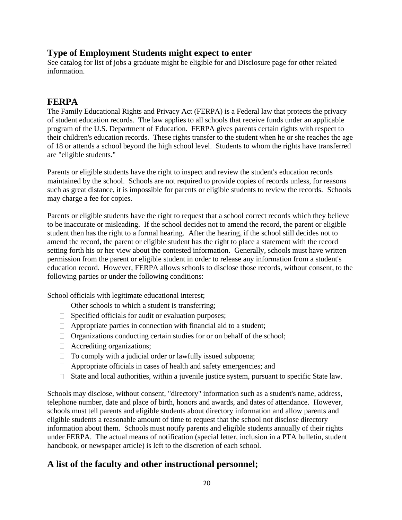#### **Type of Employment Students might expect to enter**

See catalog for list of jobs a graduate might be eligible for and Disclosure page for other related information.

## **FERPA**

The Family Educational Rights and Privacy Act (FERPA) is a Federal law that protects the privacy of student education records. The law applies to all schools that receive funds under an applicable program of the U.S. Department of Education. FERPA gives parents certain rights with respect to their children's education records. These rights transfer to the student when he or she reaches the age of 18 or attends a school beyond the high school level. Students to whom the rights have transferred are "eligible students."

Parents or eligible students have the right to inspect and review the student's education records maintained by the school. Schools are not required to provide copies of records unless, for reasons such as great distance, it is impossible for parents or eligible students to review the records. Schools may charge a fee for copies.

Parents or eligible students have the right to request that a school correct records which they believe to be inaccurate or misleading. If the school decides not to amend the record, the parent or eligible student then has the right to a formal hearing. After the hearing, if the school still decides not to amend the record, the parent or eligible student has the right to place a statement with the record setting forth his or her view about the contested information. Generally, schools must have written permission from the parent or eligible student in order to release any information from a student's education record. However, FERPA allows schools to disclose those records, without consent, to the following parties or under the following conditions:

School officials with legitimate educational interest;

- $\Box$  Other schools to which a student is transferring;
- $\Box$  Specified officials for audit or evaluation purposes;
- $\Box$  Appropriate parties in connection with financial aid to a student;
- □ Organizations conducting certain studies for or on behalf of the school;
- Accrediting organizations;
- $\Box$  To comply with a judicial order or lawfully issued subpoena;
- Appropriate officials in cases of health and safety emergencies; and
- □ State and local authorities, within a juvenile justice system, pursuant to specific State law.

Schools may disclose, without consent, "directory" information such as a student's name, address, telephone number, date and place of birth, honors and awards, and dates of attendance. However, schools must tell parents and eligible students about directory information and allow parents and eligible students a reasonable amount of time to request that the school not disclose directory information about them. Schools must notify parents and eligible students annually of their rights under FERPA. The actual means of notification (special letter, inclusion in a PTA bulletin, student handbook, or newspaper article) is left to the discretion of each school.

## **A list of the faculty and other instructional personnel;**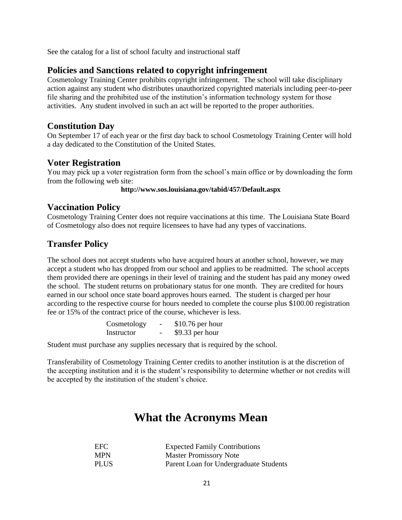See the catalog for a list of school faculty and instructional staff

#### **Policies and Sanctions related to copyright infringement**

Cosmetology Training Center prohibits copyright infringement. The school will take disciplinary action against any student who distributes unauthorized copyrighted materials including peer-to-peer file sharing and the prohibited use of the institution's information technology system for those activities. Any student involved in such an act will be reported to the proper authorities.

### **Constitution Day**

On September 17 of each year or the first day back to school Cosmetology Training Center will hold a day dedicated to the Constitution of the United States.

#### **Voter Registration**

You may pick up a voter registration form from the school's main office or by downloading the form from the following web site:

#### **http://www.sos.louisiana.gov/tabid/457/Default.aspx**

#### **Vaccination Policy**

Cosmetology Training Center does not require vaccinations at this time. The Louisiana State Board of Cosmetology also does not require licensees to have had any types of vaccinations.

## **Transfer Policy**

The school does not accept students who have acquired hours at another school, however, we may accept a student who has dropped from our school and applies to be readmitted. The school accepts them provided there are openings in their level of training and the student has paid any money owed the school. The student returns on probationary status for one month. They are credited for hours earned in our school once state board approves hours earned. The student is charged per hour according to the respective course for hours needed to complete the course plus \$100.00 registration fee or 15% of the contract price of the course, whichever is less.

| Cosmetology | $\sim$ | $$10.76$ per hour |
|-------------|--------|-------------------|
| Instructor  |        | \$9.33 per hour   |

Student must purchase any supplies necessary that is required by the school.

Transferability of Cosmetology Training Center credits to another institution is at the discretion of the accepting institution and it is the student's responsibility to determine whether or not credits will be accepted by the institution of the student's choice.

# **What the Acronyms Mean**

| EFC         | <b>Expected Family Contributions</b>   |
|-------------|----------------------------------------|
| <b>MPN</b>  | <b>Master Promissory Note</b>          |
| <b>PLUS</b> | Parent Loan for Undergraduate Students |